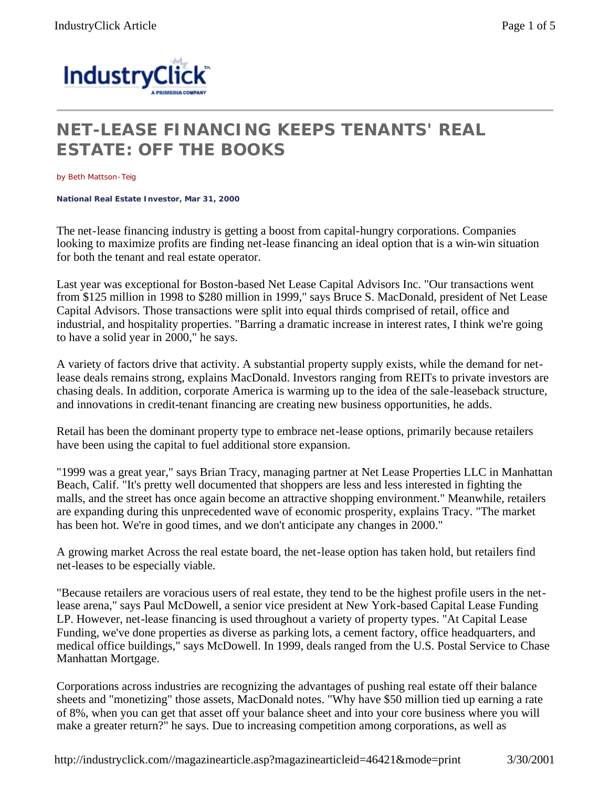

## **NET-LEASE FINANCING KEEPS TENANTS' REAL ESTATE: OFF THE BOOKS**

by Beth Mattson-Teig

**National Real Estate Investor, Mar 31, 2000** 

The net-lease financing industry is getting a boost from capital-hungry corporations. Companies looking to maximize profits are finding net-lease financing an ideal option that is a win-win situation for both the tenant and real estate operator.

Last year was exceptional for Boston-based Net Lease Capital Advisors Inc. "Our transactions went from \$125 million in 1998 to \$280 million in 1999," says Bruce S. MacDonald, president of Net Lease Capital Advisors. Those transactions were split into equal thirds comprised of retail, office and industrial, and hospitality properties. "Barring a dramatic increase in interest rates, I think we're going to have a solid year in 2000," he says.

A variety of factors drive that activity. A substantial property supply exists, while the demand for netlease deals remains strong, explains MacDonald. Investors ranging from REITs to private investors are chasing deals. In addition, corporate America is warming up to the idea of the sale-leaseback structure, and innovations in credit-tenant financing are creating new business opportunities, he adds.

Retail has been the dominant property type to embrace net-lease options, primarily because retailers have been using the capital to fuel additional store expansion.

"1999 was a great year," says Brian Tracy, managing partner at Net Lease Properties LLC in Manhattan Beach, Calif. "It's pretty well documented that shoppers are less and less interested in fighting the malls, and the street has once again become an attractive shopping environment." Meanwhile, retailers are expanding during this unprecedented wave of economic prosperity, explains Tracy. "The market has been hot. We're in good times, and we don't anticipate any changes in 2000."

A growing market Across the real estate board, the net-lease option has taken hold, but retailers find net-leases to be especially viable.

"Because retailers are voracious users of real estate, they tend to be the highest profile users in the netlease arena," says Paul McDowell, a senior vice president at New York-based Capital Lease Funding LP. However, net-lease financing is used throughout a variety of property types. "At Capital Lease Funding, we've done properties as diverse as parking lots, a cement factory, office headquarters, and medical office buildings," says McDowell. In 1999, deals ranged from the U.S. Postal Service to Chase Manhattan Mortgage.

Corporations across industries are recognizing the advantages of pushing real estate off their balance sheets and "monetizing" those assets, MacDonald notes. "Why have \$50 million tied up earning a rate of 8%, when you can get that asset off your balance sheet and into your core business where you will make a greater return?" he says. Due to increasing competition among corporations, as well as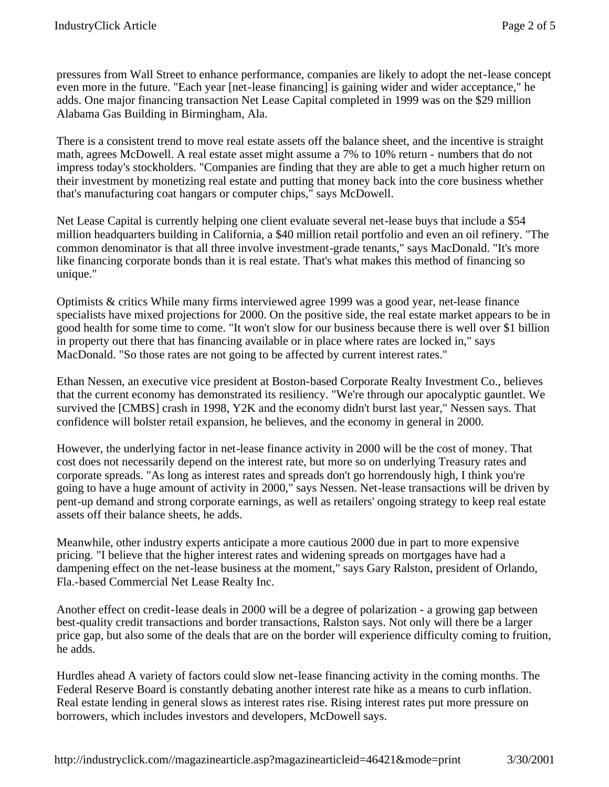pressures from Wall Street to enhance performance, companies are likely to adopt the net-lease concept even more in the future. "Each year [net-lease financing] is gaining wider and wider acceptance," he adds. One major financing transaction Net Lease Capital completed in 1999 was on the \$29 million Alabama Gas Building in Birmingham, Ala.

There is a consistent trend to move real estate assets off the balance sheet, and the incentive is straight math, agrees McDowell. A real estate asset might assume a 7% to 10% return - numbers that do not impress today's stockholders. "Companies are finding that they are able to get a much higher return on their investment by monetizing real estate and putting that money back into the core business whether that's manufacturing coat hangars or computer chips," says McDowell.

Net Lease Capital is currently helping one client evaluate several net-lease buys that include a \$54 million headquarters building in California, a \$40 million retail portfolio and even an oil refinery. "The common denominator is that all three involve investment-grade tenants," says MacDonald. "It's more like financing corporate bonds than it is real estate. That's what makes this method of financing so unique."

Optimists & critics While many firms interviewed agree 1999 was a good year, net-lease finance specialists have mixed projections for 2000. On the positive side, the real estate market appears to be in good health for some time to come. "It won't slow for our business because there is well over \$1 billion in property out there that has financing available or in place where rates are locked in," says MacDonald. "So those rates are not going to be affected by current interest rates."

Ethan Nessen, an executive vice president at Boston-based Corporate Realty Investment Co., believes that the current economy has demonstrated its resiliency. "We're through our apocalyptic gauntlet. We survived the [CMBS] crash in 1998, Y2K and the economy didn't burst last year," Nessen says. That confidence will bolster retail expansion, he believes, and the economy in general in 2000.

However, the underlying factor in net-lease finance activity in 2000 will be the cost of money. That cost does not necessarily depend on the interest rate, but more so on underlying Treasury rates and corporate spreads. "As long as interest rates and spreads don't go horrendously high, I think you're going to have a huge amount of activity in 2000," says Nessen. Net-lease transactions will be driven by pent-up demand and strong corporate earnings, as well as retailers' ongoing strategy to keep real estate assets off their balance sheets, he adds.

Meanwhile, other industry experts anticipate a more cautious 2000 due in part to more expensive pricing. "I believe that the higher interest rates and widening spreads on mortgages have had a dampening effect on the net-lease business at the moment," says Gary Ralston, president of Orlando, Fla.-based Commercial Net Lease Realty Inc.

Another effect on credit-lease deals in 2000 will be a degree of polarization - a growing gap between best-quality credit transactions and border transactions, Ralston says. Not only will there be a larger price gap, but also some of the deals that are on the border will experience difficulty coming to fruition, he adds.

Hurdles ahead A variety of factors could slow net-lease financing activity in the coming months. The Federal Reserve Board is constantly debating another interest rate hike as a means to curb inflation. Real estate lending in general slows as interest rates rise. Rising interest rates put more pressure on borrowers, which includes investors and developers, McDowell says.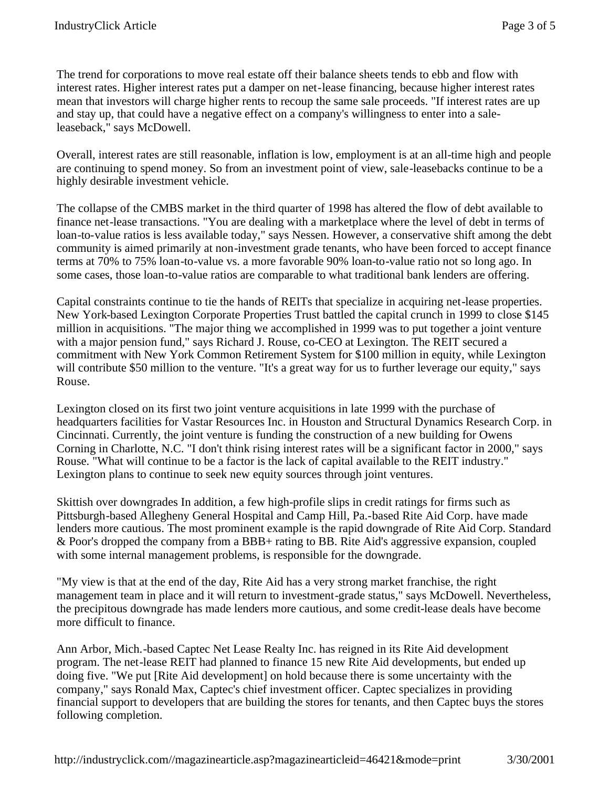The trend for corporations to move real estate off their balance sheets tends to ebb and flow with interest rates. Higher interest rates put a damper on net-lease financing, because higher interest rates mean that investors will charge higher rents to recoup the same sale proceeds. "If interest rates are up and stay up, that could have a negative effect on a company's willingness to enter into a saleleaseback," says McDowell.

Overall, interest rates are still reasonable, inflation is low, employment is at an all-time high and people are continuing to spend money. So from an investment point of view, sale-leasebacks continue to be a highly desirable investment vehicle.

The collapse of the CMBS market in the third quarter of 1998 has altered the flow of debt available to finance net-lease transactions. "You are dealing with a marketplace where the level of debt in terms of loan-to-value ratios is less available today," says Nessen. However, a conservative shift among the debt community is aimed primarily at non-investment grade tenants, who have been forced to accept finance terms at 70% to 75% loan-to-value vs. a more favorable 90% loan-to-value ratio not so long ago. In some cases, those loan-to-value ratios are comparable to what traditional bank lenders are offering.

Capital constraints continue to tie the hands of REITs that specialize in acquiring net-lease properties. New York-based Lexington Corporate Properties Trust battled the capital crunch in 1999 to close \$145 million in acquisitions. "The major thing we accomplished in 1999 was to put together a joint venture with a major pension fund," says Richard J. Rouse, co-CEO at Lexington. The REIT secured a commitment with New York Common Retirement System for \$100 million in equity, while Lexington will contribute \$50 million to the venture. "It's a great way for us to further leverage our equity," says Rouse.

Lexington closed on its first two joint venture acquisitions in late 1999 with the purchase of headquarters facilities for Vastar Resources Inc. in Houston and Structural Dynamics Research Corp. in Cincinnati. Currently, the joint venture is funding the construction of a new building for Owens Corning in Charlotte, N.C. "I don't think rising interest rates will be a significant factor in 2000," says Rouse. "What will continue to be a factor is the lack of capital available to the REIT industry." Lexington plans to continue to seek new equity sources through joint ventures.

Skittish over downgrades In addition, a few high-profile slips in credit ratings for firms such as Pittsburgh-based Allegheny General Hospital and Camp Hill, Pa.-based Rite Aid Corp. have made lenders more cautious. The most prominent example is the rapid downgrade of Rite Aid Corp. Standard & Poor's dropped the company from a BBB+ rating to BB. Rite Aid's aggressive expansion, coupled with some internal management problems, is responsible for the downgrade.

"My view is that at the end of the day, Rite Aid has a very strong market franchise, the right management team in place and it will return to investment-grade status," says McDowell. Nevertheless, the precipitous downgrade has made lenders more cautious, and some credit-lease deals have become more difficult to finance.

Ann Arbor, Mich.-based Captec Net Lease Realty Inc. has reigned in its Rite Aid development program. The net-lease REIT had planned to finance 15 new Rite Aid developments, but ended up doing five. "We put [Rite Aid development] on hold because there is some uncertainty with the company," says Ronald Max, Captec's chief investment officer. Captec specializes in providing financial support to developers that are building the stores for tenants, and then Captec buys the stores following completion.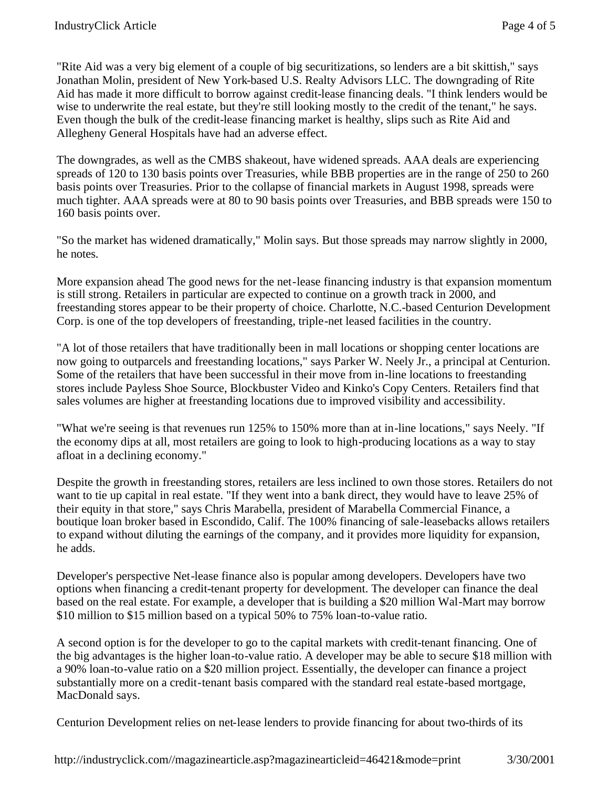"Rite Aid was a very big element of a couple of big securitizations, so lenders are a bit skittish," says Jonathan Molin, president of New York-based U.S. Realty Advisors LLC. The downgrading of Rite Aid has made it more difficult to borrow against credit-lease financing deals. "I think lenders would be wise to underwrite the real estate, but they're still looking mostly to the credit of the tenant," he says. Even though the bulk of the credit-lease financing market is healthy, slips such as Rite Aid and Allegheny General Hospitals have had an adverse effect.

The downgrades, as well as the CMBS shakeout, have widened spreads. AAA deals are experiencing spreads of 120 to 130 basis points over Treasuries, while BBB properties are in the range of 250 to 260 basis points over Treasuries. Prior to the collapse of financial markets in August 1998, spreads were much tighter. AAA spreads were at 80 to 90 basis points over Treasuries, and BBB spreads were 150 to 160 basis points over.

"So the market has widened dramatically," Molin says. But those spreads may narrow slightly in 2000, he notes.

More expansion ahead The good news for the net-lease financing industry is that expansion momentum is still strong. Retailers in particular are expected to continue on a growth track in 2000, and freestanding stores appear to be their property of choice. Charlotte, N.C.-based Centurion Development Corp. is one of the top developers of freestanding, triple-net leased facilities in the country.

"A lot of those retailers that have traditionally been in mall locations or shopping center locations are now going to outparcels and freestanding locations," says Parker W. Neely Jr., a principal at Centurion. Some of the retailers that have been successful in their move from in-line locations to freestanding stores include Payless Shoe Source, Blockbuster Video and Kinko's Copy Centers. Retailers find that sales volumes are higher at freestanding locations due to improved visibility and accessibility.

"What we're seeing is that revenues run 125% to 150% more than at in-line locations," says Neely. "If the economy dips at all, most retailers are going to look to high-producing locations as a way to stay afloat in a declining economy."

Despite the growth in freestanding stores, retailers are less inclined to own those stores. Retailers do not want to tie up capital in real estate. "If they went into a bank direct, they would have to leave 25% of their equity in that store," says Chris Marabella, president of Marabella Commercial Finance, a boutique loan broker based in Escondido, Calif. The 100% financing of sale-leasebacks allows retailers to expand without diluting the earnings of the company, and it provides more liquidity for expansion, he adds.

Developer's perspective Net-lease finance also is popular among developers. Developers have two options when financing a credit-tenant property for development. The developer can finance the deal based on the real estate. For example, a developer that is building a \$20 million Wal-Mart may borrow \$10 million to \$15 million based on a typical 50% to 75% loan-to-value ratio.

A second option is for the developer to go to the capital markets with credit-tenant financing. One of the big advantages is the higher loan-to-value ratio. A developer may be able to secure \$18 million with a 90% loan-to-value ratio on a \$20 million project. Essentially, the developer can finance a project substantially more on a credit-tenant basis compared with the standard real estate-based mortgage, MacDonald says.

Centurion Development relies on net-lease lenders to provide financing for about two-thirds of its